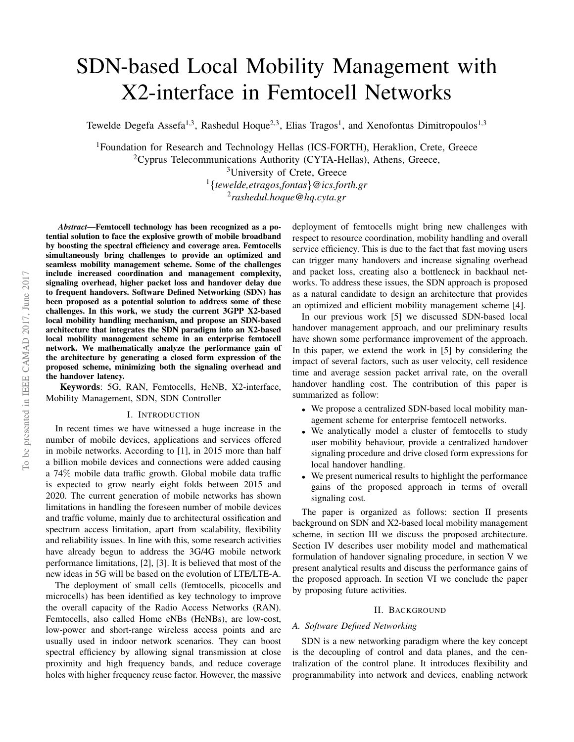# SDN-based Local Mobility Management with X2-interface in Femtocell Networks

Tewelde Degefa Assefa<sup>1,3</sup>, Rashedul Hoque<sup>2,3</sup>, Elias Tragos<sup>1</sup>, and Xenofontas Dimitropoulos<sup>1,3</sup>

<sup>1</sup>Foundation for Research and Technology Hellas (ICS-FORTH), Heraklion, Crete, Greece <sup>2</sup>Cyprus Telecommunications Authority (CYTA-Hellas), Athens, Greece, <sup>3</sup>University of Crete, Greece <sup>1</sup>{*tewelde,etragos,fontas*}*@ics.forth.gr* 2 *rashedul.hoque@hq.cyta.gr*

*Abstract*—Femtocell technology has been recognized as a potential solution to face the explosive growth of mobile broadband by boosting the spectral efficiency and coverage area. Femtocells simultaneously bring challenges to provide an optimized and seamless mobility management scheme. Some of the challenges include increased coordination and management complexity, signaling overhead, higher packet loss and handover delay due to frequent handovers. Software Defined Networking (SDN) has been proposed as a potential solution to address some of these challenges. In this work, we study the current 3GPP X2-based local mobility handling mechanism, and propose an SDN-based architecture that integrates the SDN paradigm into an X2-based local mobility management scheme in an enterprise femtocell network. We mathematically analyze the performance gain of the architecture by generating a closed form expression of the proposed scheme, minimizing both the signaling overhead and the handover latency.

Keywords: 5G, RAN, Femtocells, HeNB, X2-interface, Mobility Management, SDN, SDN Controller

## I. INTRODUCTION

In recent times we have witnessed a huge increase in the number of mobile devices, applications and services offered in mobile networks. According to [1], in 2015 more than half a billion mobile devices and connections were added causing a 74% mobile data traffic growth. Global mobile data traffic is expected to grow nearly eight folds between 2015 and 2020. The current generation of mobile networks has shown limitations in handling the foreseen number of mobile devices and traffic volume, mainly due to architectural ossification and spectrum access limitation, apart from scalability, flexibility and reliability issues. In line with this, some research activities have already begun to address the 3G/4G mobile network performance limitations, [2], [3]. It is believed that most of the new ideas in 5G will be based on the evolution of LTE/LTE-A.

The deployment of small cells (femtocells, picocells and microcells) has been identified as key technology to improve the overall capacity of the Radio Access Networks (RAN). Femtocells, also called Home eNBs (HeNBs), are low-cost, low-power and short-range wireless access points and are usually used in indoor network scenarios. They can boost spectral efficiency by allowing signal transmission at close proximity and high frequency bands, and reduce coverage holes with higher frequency reuse factor. However, the massive

deployment of femtocells might bring new challenges with respect to resource coordination, mobility handling and overall service efficiency. This is due to the fact that fast moving users can trigger many handovers and increase signaling overhead and packet loss, creating also a bottleneck in backhaul networks. To address these issues, the SDN approach is proposed as a natural candidate to design an architecture that provides an optimized and efficient mobility management scheme [4].

In our previous work [5] we discussed SDN-based local handover management approach, and our preliminary results have shown some performance improvement of the approach. In this paper, we extend the work in [5] by considering the impact of several factors, such as user velocity, cell residence time and average session packet arrival rate, on the overall handover handling cost. The contribution of this paper is summarized as follow:

- We propose a centralized SDN-based local mobility management scheme for enterprise femtocell networks.
- We analytically model a cluster of femtocells to study user mobility behaviour, provide a centralized handover signaling procedure and drive closed form expressions for local handover handling.
- We present numerical results to highlight the performance gains of the proposed approach in terms of overall signaling cost.

The paper is organized as follows: section II presents background on SDN and X2-based local mobility management scheme, in section III we discuss the proposed architecture. Section IV describes user mobility model and mathematical formulation of handover signaling procedure, in section V we present analytical results and discuss the performance gains of the proposed approach. In section VI we conclude the paper by proposing future activities.

### II. BACKGROUND

## *A. Software Defined Networking*

SDN is a new networking paradigm where the key concept is the decoupling of control and data planes, and the centralization of the control plane. It introduces flexibility and programmability into network and devices, enabling network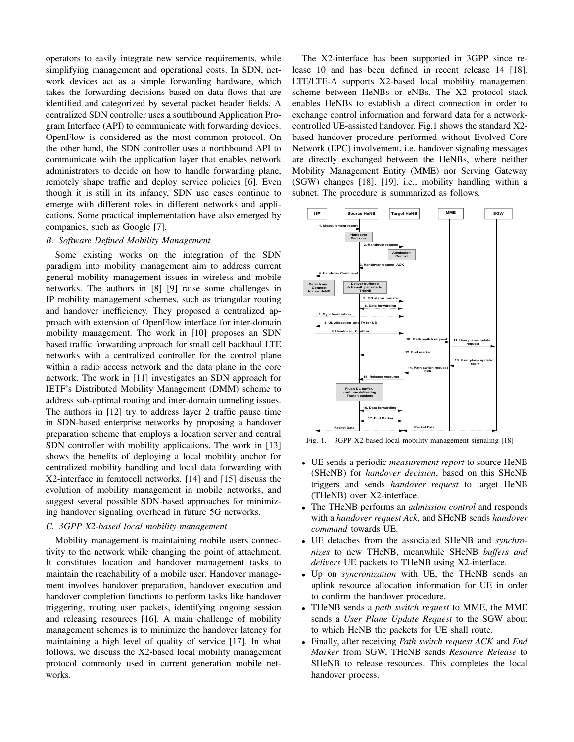operators to easily integrate new service requirements, while simplifying management and operational costs. In SDN, network devices act as a simple forwarding hardware, which takes the forwarding decisions based on data flows that are identified and categorized by several packet header fields. A centralized SDN controller uses a southbound Application Program Interface (API) to communicate with forwarding devices. OpenFlow is considered as the most common protocol. On the other hand, the SDN controller uses a northbound API to communicate with the application layer that enables network administrators to decide on how to handle forwarding plane, remotely shape traffic and deploy service policies [6]. Even though it is still in its infancy, SDN use cases continue to emerge with different roles in different networks and applications. Some practical implementation have also emerged by companies, such as Google [7].

# *B. Software Defined Mobility Management*

Some existing works on the integration of the SDN paradigm into mobility management aim to address current general mobility management issues in wireless and mobile networks. The authors in [8] [9] raise some challenges in IP mobility management schemes, such as triangular routing and handover inefficiency. They proposed a centralized approach with extension of OpenFlow interface for inter-domain mobility management. The work in [10] proposes an SDN based traffic forwarding approach for small cell backhaul LTE networks with a centralized controller for the control plane within a radio access network and the data plane in the core network. The work in [11] investigates an SDN approach for IETF's Distributed Mobility Management (DMM) scheme to address sub-optimal routing and inter-domain tunneling issues. The authors in [12] try to address layer 2 traffic pause time in SDN-based enterprise networks by proposing a handover preparation scheme that employs a location server and central SDN controller with mobility applications. The work in [13] shows the benefits of deploying a local mobility anchor for centralized mobility handling and local data forwarding with X2-interface in femtocell networks. [14] and [15] discuss the evolution of mobility management in mobile networks, and suggest several possible SDN-based approaches for minimizing handover signaling overhead in future 5G networks.

# *C. 3GPP X2-based local mobility management*

Mobility management is maintaining mobile users connectivity to the network while changing the point of attachment. It constitutes location and handover management tasks to maintain the reachability of a mobile user. Handover management involves handover preparation, handover execution and handover completion functions to perform tasks like handover triggering, routing user packets, identifying ongoing session and releasing resources [16]. A main challenge of mobility management schemes is to minimize the handover latency for maintaining a high level of quality of service [17]. In what follows, we discuss the X2-based local mobility management protocol commonly used in current generation mobile networks.

The X2-interface has been supported in 3GPP since release 10 and has been defined in recent release 14 [18]. LTE/LTE-A supports X2-based local mobility management scheme between HeNBs or eNBs. The X2 protocol stack enables HeNBs to establish a direct connection in order to exchange control information and forward data for a networkcontrolled UE-assisted handover. Fig.1 shows the standard X2 based handover procedure performed without Evolved Core Network (EPC) involvement, i.e. handover signaling messages are directly exchanged between the HeNBs, where neither Mobility Management Entity (MME) nor Serving Gateway (SGW) changes [18], [19], i.e., mobility handling within a subnet. The procedure is summarized as follows.



Fig. 1. 3GPP X2-based local mobility management signaling [18]

- UE sends a periodic *measurement report* to source HeNB (SHeNB) for *handover decision*, based on this SHeNB triggers and sends *handover request* to target HeNB (THeNB) over X2-interface.
- The THeNB performs an *admission control* and responds with a *handover request Ack*, and SHeNB sends *handover command* towards UE.
- UE detaches from the associated SHeNB and *synchronizes* to new THeNB, meanwhile SHeNB *buffers and delivers* UE packets to THeNB using X2-interface.
- Up on *syncronization* with UE, the THeNB sends an uplink resource allocation information for UE in order to confirm the handover procedure.
- THeNB sends a *path switch request* to MME, the MME sends a *User Plane Update Request* to the SGW about to which HeNB the packets for UE shall route.
- Finally, after receiving *Path switch request ACK* and *End Marker* from SGW, THeNB sends *Resource Release* to SHeNB to release resources. This completes the local handover process.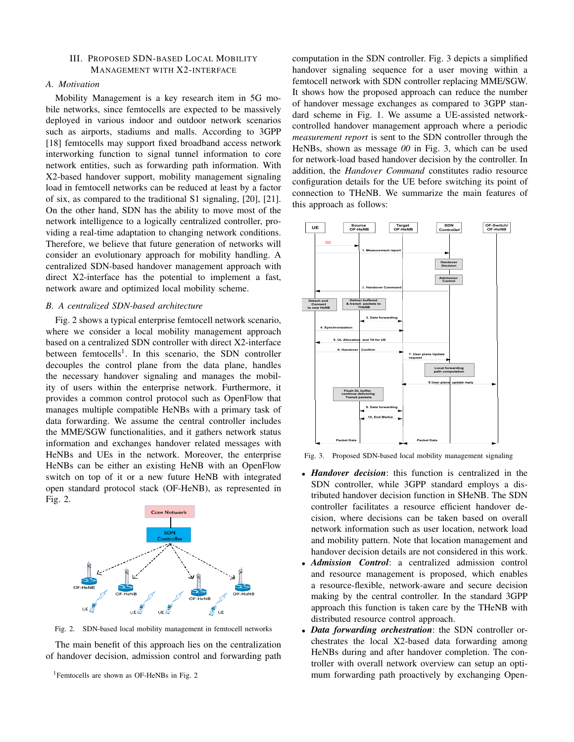## III. PROPOSED SDN-BASED LOCAL MOBILITY MANAGEMENT WITH X2-INTERFACE

# *A. Motivation*

Mobility Management is a key research item in 5G mobile networks, since femtocells are expected to be massively deployed in various indoor and outdoor network scenarios such as airports, stadiums and malls. According to 3GPP [18] femtocells may support fixed broadband access network interworking function to signal tunnel information to core network entities, such as forwarding path information. With X2-based handover support, mobility management signaling load in femtocell networks can be reduced at least by a factor of six, as compared to the traditional S1 signaling, [20], [21]. On the other hand, SDN has the ability to move most of the network intelligence to a logically centralized controller, providing a real-time adaptation to changing network conditions. Therefore, we believe that future generation of networks will consider an evolutionary approach for mobility handling. A centralized SDN-based handover management approach with direct X2-interface has the potential to implement a fast, network aware and optimized local mobility scheme.

## *B. A centralized SDN-based architecture*

Fig. 2 shows a typical enterprise femtocell network scenario, where we consider a local mobility management approach based on a centralized SDN controller with direct X2-interface between femtocells<sup>1</sup>. In this scenario, the SDN controller decouples the control plane from the data plane, handles the necessary handover signaling and manages the mobility of users within the enterprise network. Furthermore, it provides a common control protocol such as OpenFlow that manages multiple compatible HeNBs with a primary task of data forwarding. We assume the central controller includes the MME/SGW functionalities, and it gathers network status information and exchanges handover related messages with HeNBs and UEs in the network. Moreover, the enterprise HeNBs can be either an existing HeNB with an OpenFlow switch on top of it or a new future HeNB with integrated open standard protocol stack (OF-HeNB), as represented in Fig. 2.



Fig. 2. SDN-based local mobility management in femtocell networks

The main benefit of this approach lies on the centralization of handover decision, admission control and forwarding path

<sup>1</sup>Femtocells are shown as OF-HeNBs in Fig. 2

computation in the SDN controller. Fig. 3 depicts a simplified handover signaling sequence for a user moving within a femtocell network with SDN controller replacing MME/SGW. It shows how the proposed approach can reduce the number of handover message exchanges as compared to 3GPP standard scheme in Fig. 1. We assume a UE-assisted networkcontrolled handover management approach where a periodic *measurement report* is sent to the SDN controller through the HeNBs, shown as message *00* in Fig. 3, which can be used for network-load based handover decision by the controller. In addition, the *Handover Command* constitutes radio resource configuration details for the UE before switching its point of connection to THeNB. We summarize the main features of this approach as follows:



Fig. 3. Proposed SDN-based local mobility management signaling

- *Handover decision*: this function is centralized in the SDN controller, while 3GPP standard employs a distributed handover decision function in SHeNB. The SDN controller facilitates a resource efficient handover decision, where decisions can be taken based on overall network information such as user location, network load and mobility pattern. Note that location management and handover decision details are not considered in this work.
- *Admission Control*: a centralized admission control and resource management is proposed, which enables a resource-flexible, network-aware and secure decision making by the central controller. In the standard 3GPP approach this function is taken care by the THeNB with distributed resource control approach.
- *Data forwarding orchestration*: the SDN controller orchestrates the local X2-based data forwarding among HeNBs during and after handover completion. The controller with overall network overview can setup an optimum forwarding path proactively by exchanging Open-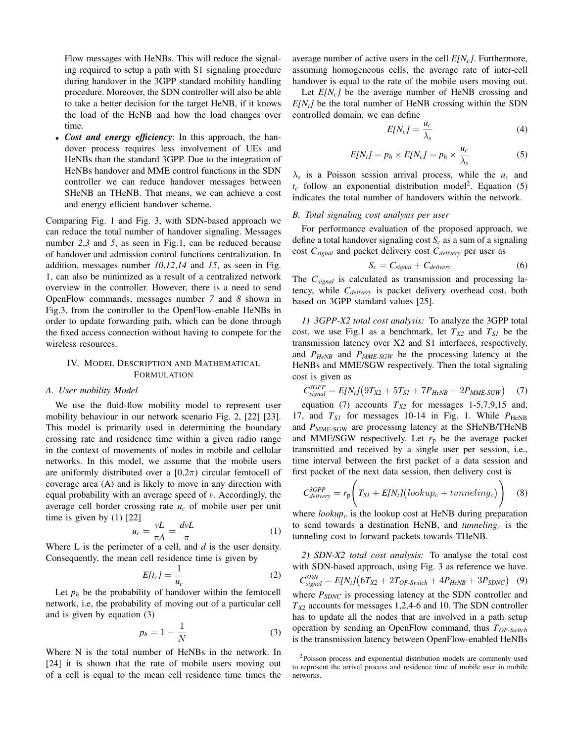Flow messages with HeNBs. This will reduce the signaling required to setup a path with S1 signaling procedure during handover in the 3GPP standard mobility handling procedure. Moreover, the SDN controller will also be able to take a better decision for the target HeNB, if it knows the load of the HeNB and how the load changes over time.

• *Cost and energy efficiency*: In this approach, the handover process requires less involvement of UEs and HeNBs than the standard 3GPP. Due to the integration of HeNBs handover and MME control functions in the SDN controller we can reduce handover messages between SHeNB an THeNB. That means, we can achieve a cost and energy efficient handover scheme.

Comparing Fig. 1 and Fig. 3, with SDN-based approach we can reduce the total number of handover signaling. Messages number *2*,*3* and *5*, as seen in Fig.1, can be reduced because of handover and admission control functions centralization. In addition, messages number *10*,*12*,*14* and *15*, as seen in Fig. 1, can also be minimized as a result of a centralized network overview in the controller. However, there is a need to send OpenFlow commands, messages number *7* and *8* shown in Fig.3, from the controller to the OpenFlow-enable HeNBs in order to update forwarding path, which can be done through the fixed access connection without having to compete for the wireless resources.

# IV. MODEL DESCRIPTION AND MATHEMATICAL FORMULATION

## *A. User mobility Model*

We use the fluid-flow mobility model to represent user mobility behaviour in our network scenario Fig. 2, [22] [23]. This model is primarily used in determining the boundary crossing rate and residence time within a given radio range in the context of movements of nodes in mobile and cellular networks. In this model, we assume that the mobile users are uniformly distributed over a  $[0,2\pi)$  circular femtocell of coverage area (A) and is likely to move in any direction with equal probability with an average speed of *v*. Accordingly, the average cell border crossing rate  $u_c$  of mobile user per unit time is given by (1) [22]

$$
u_c = \frac{vL}{\pi A} = \frac{dvL}{\pi} \tag{1}
$$

Where L is the perimeter of a cell, and *d* is the user density. Consequently, the mean cell residence time is given by

$$
E[t_c] = \frac{1}{u_c} \tag{2}
$$

Let  $p_h$  be the probability of handover within the femtocell network, i.e, the probability of moving out of a particular cell and is given by equation (3)

$$
p_h = 1 - \frac{1}{N} \tag{3}
$$

Where N is the total number of HeNBs in the network. In [24] it is shown that the rate of mobile users moving out of a cell is equal to the mean cell residence time times the average number of active users in the cell *E[Nc]*. Furthermore, assuming homogeneous cells, the average rate of inter-cell handover is equal to the rate of the mobile users moving out.

Let  $E[N_c]$  be the average number of HeNB crossing and  $E[N_t]$  be the total number of HeNB crossing within the SDN controlled domain, we can define

$$
E[N_c] = \frac{u_c}{\lambda_s} \tag{4}
$$

$$
E[N_t] = p_h \times E[N_c] = p_h \times \frac{u_c}{\lambda_s}
$$
 (5)

 $\lambda_s$  is a Poisson session arrival process, while the  $u_c$  and  $t_c$  follow an exponential distribution model<sup>2</sup>. Equation (5) indicates the total number of handovers within the network.

## *B. Total signaling cost analysis per user*

For performance evaluation of the proposed approach, we define a total handover signaling cost  $S_c$  as a sum of a signaling cost *Csignal* and packet delivery cost *Cdelivery* per user as

$$
S_c = C_{signal} + C_{delivery}
$$
 (6)

The *Csignal* is calculated as transmission and processing latency, while *Cdelivery* is packet delivery overhead cost, both based on 3GPP standard values [25].

*1) 3GPP-X2 total cost analysis:* To analyze the 3GPP total cost, we use Fig.1 as a benchmark, let  $T_{X2}$  and  $T_{SI}$  be the transmission latency over X2 and S1 interfaces, respectively, and *PHeNB* and *PMME-SGW* be the processing latency at the HeNBs and MME/SGW respectively. Then the total signaling cost is given as

$$
C_{signal}^{3GPP} = E[N_t](9T_{X2} + 5T_{SI} + 7P_{HeNB} + 2P_{MME\text{-}SGW})
$$
 (7)

equation (7) accounts  $T_{X2}$  for messages 1-5,7,9,15 and, 17, and  $T_{SI}$  for messages 10-14 in Fig. 1. While  $P_{\text{HeNB}}$ and *P<sub>MME-SGW</sub>* are processing latency at the SHeNB/THeNB and MME/SGW respectively. Let  $r_p$  be the average packet transmitted and received by a single user per session, i.e., time interval between the first packet of a data session and first packet of the next data session, then delivery cost is

$$
C_{\text{delivery}}^{3GPP} = r_{\rm p} \left( T_{SI} + E[N_t] \left( \text{lookup}_c + \text{tunneling}_c \right) \right) \tag{8}
$$

where  $lookup_c$  is the lookup cost at HeNB during preparation to send towards a destination HeNB, and  $tunneling_c$  is the tunneling cost to forward packets towards THeNB.

*2) SDN-X2 total cost analysis:* To analyse the total cost with SDN-based approach, using Fig. 3 as reference we have.  $C_{signal}^{SDN} = E[N_t] (6T_{X2} + 2T_{OF-Switch} + 4P_{HeNB} + 3P_{SDNC})$  (9) where  $P_{SDNC}$  is processing latency at the SDN controller and *TX2* accounts for messages 1,2,4-6 and 10. The SDN controller has to update all the nodes that are involved in a path setup operation by sending an OpenFlow command, thus *TOF-Switch* is the transmission latency between OpenFlow-enabled HeNBs

<sup>2</sup>Poisson process and exponential distribution models are commonly used to represent the arrival process and residence time of mobile user in mobile networks.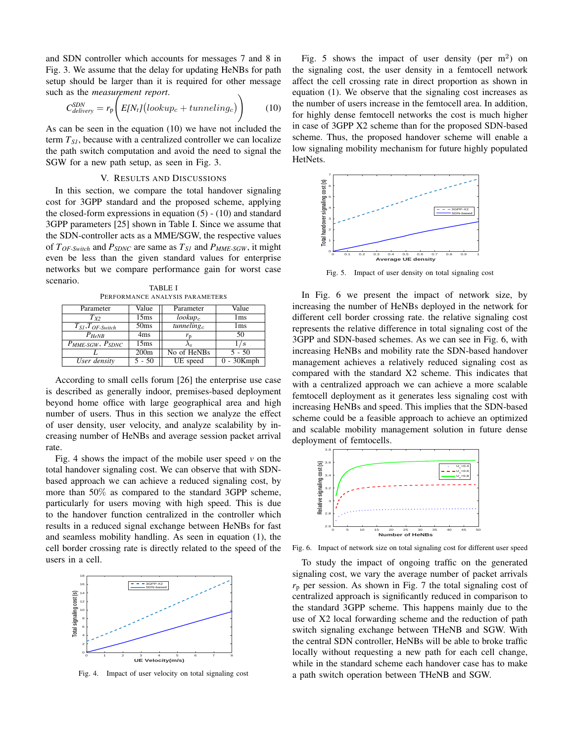and SDN controller which accounts for messages 7 and 8 in Fig. 3. We assume that the delay for updating HeNBs for path setup should be larger than it is required for other message such as the *measurement report*.

$$
C_{\text{delivery}}^{\text{SDN}} = r_{\text{p}} \bigg( E[N_t] \big( \text{lookup}_c + \text{tunneling}_c \big) \bigg) \tag{10}
$$

As can be seen in the equation (10) we have not included the term *TS1*, because with a centralized controller we can localize the path switch computation and avoid the need to signal the SGW for a new path setup, as seen in Fig. 3.

## V. RESULTS AND DISCUSSIONS

In this section, we compare the total handover signaling cost for 3GPP standard and the proposed scheme, applying the closed-form expressions in equation  $(5)$  -  $(10)$  and standard 3GPP parameters [25] shown in Table I. Since we assume that the SDN-controller acts as a MME/SGW, the respective values of *TOF-Switch* and *PSDNC* are same as *TS1* and *PMME-SGW* , it might even be less than the given standard values for enterprise networks but we compare performance gain for worst case scenario. TABLE I

PERFORMANCE ANALYSIS PARAMETERS

| Parameter                      | Value            | Parameter              | Value           |
|--------------------------------|------------------|------------------------|-----------------|
| $T_{X2}$                       | 15ms             | $lookup_c$             | 1 <sub>ms</sub> |
| $T_{SI}, T_{OF-Switch}$        | 50 <sub>ms</sub> | tunneling <sub>c</sub> | 1 <sub>ms</sub> |
| $P_{HeNR}$                     | 4 <sub>ms</sub>  | $r_{\rm p}$            | 50              |
| $P_{MME\text{-}SGW}, P_{SDNC}$ | 15ms             |                        | ' s             |
|                                | 200 <sub>m</sub> | No of HeNBs            | $5 - 50$        |
| User density                   | 5 - 50           | UE speed               | $-30$ Kmph      |

According to small cells forum [26] the enterprise use case is described as generally indoor, premises-based deployment beyond home office with large geographical area and high number of users. Thus in this section we analyze the effect of user density, user velocity, and analyze scalability by increasing number of HeNBs and average session packet arrival rate.

Fig. 4 shows the impact of the mobile user speed  $\nu$  on the total handover signaling cost. We can observe that with SDNbased approach we can achieve a reduced signaling cost, by more than 50% as compared to the standard 3GPP scheme, particularly for users moving with high speed. This is due to the handover function centralized in the controller which results in a reduced signal exchange between HeNBs for fast and seamless mobility handling. As seen in equation (1), the cell border crossing rate is directly related to the speed of the users in a cell.



Fig. 4. Impact of user velocity on total signaling cost

Fig. 5 shows the impact of user density (per  $m<sup>2</sup>$ ) on the signaling cost, the user density in a femtocell network affect the cell crossing rate in direct proportion as shown in equation (1). We observe that the signaling cost increases as the number of users increase in the femtocell area. In addition, for highly dense femtocell networks the cost is much higher in case of 3GPP X2 scheme than for the proposed SDN-based scheme. Thus, the proposed handover scheme will enable a low signaling mobility mechanism for future highly populated HetNets.



Fig. 5. Impact of user density on total signaling cost

In Fig. 6 we present the impact of network size, by increasing the number of HeNBs deployed in the network for different cell border crossing rate. the relative signaling cost represents the relative difference in total signaling cost of the 3GPP and SDN-based schemes. As we can see in Fig. 6, with increasing HeNBs and mobility rate the SDN-based handover management achieves a relatively reduced signaling cost as compared with the standard X2 scheme. This indicates that with a centralized approach we can achieve a more scalable femtocell deployment as it generates less signaling cost with increasing HeNBs and speed. This implies that the SDN-based scheme could be a feasible approach to achieve an optimized and scalable mobility management solution in future dense deployment of femtocells.



Fig. 6. Impact of network size on total signaling cost for different user speed

To study the impact of ongoing traffic on the generated signaling cost, we vary the average number of packet arrivals  $r_p$  per session. As shown in Fig. 7 the total signaling cost of centralized approach is significantly reduced in comparison to the standard 3GPP scheme. This happens mainly due to the use of X2 local forwarding scheme and the reduction of path switch signaling exchange between THeNB and SGW. With the central SDN controller, HeNBs will be able to broke traffic locally without requesting a new path for each cell change, while in the standard scheme each handover case has to make a path switch operation between THeNB and SGW.